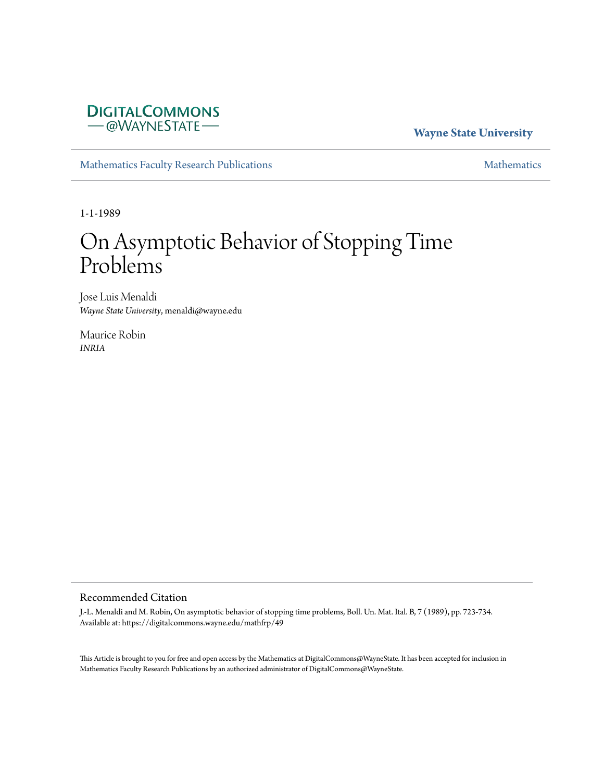# **DIGITALCOMMONS** -@WAYNESTATE-

# **Wayne State University**

[Mathematics Faculty Research Publications](https://digitalcommons.wayne.edu/mathfrp) **[Mathematics](https://digitalcommons.wayne.edu/math)** Mathematics

1-1-1989

# On Asymptotic Behavior of Stopping Time Problems

Jose Luis Menaldi *Wayne State University*, menaldi@wayne.edu

Maurice Robin *INRIA*

#### Recommended Citation

J.-L. Menaldi and M. Robin, On asymptotic behavior of stopping time problems, Boll. Un. Mat. Ital. B, 7 (1989), pp. 723-734. Available at: https://digitalcommons.wayne.edu/mathfrp/49

This Article is brought to you for free and open access by the Mathematics at DigitalCommons@WayneState. It has been accepted for inclusion in Mathematics Faculty Research Publications by an authorized administrator of DigitalCommons@WayneState.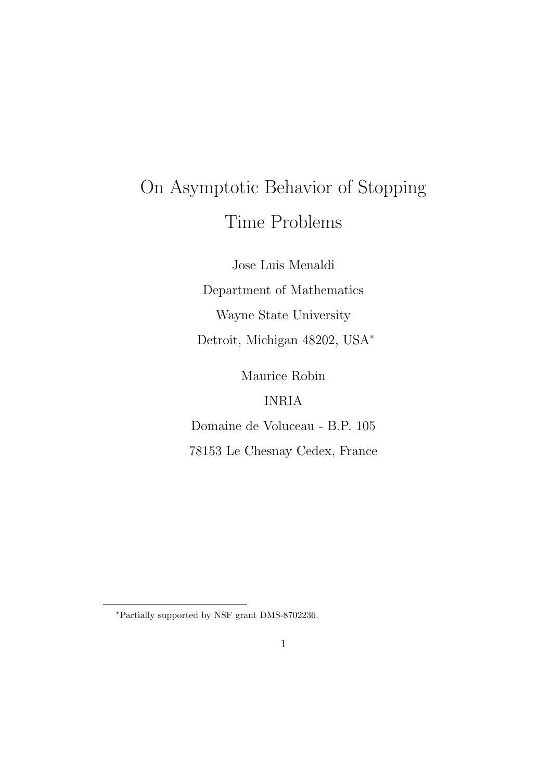# On Asymptotic Behavior of Stopping Time Problems

Jose Luis Menaldi

Department of Mathematics

Wayne State University

Detroit, Michigan 48202, USA*<sup>∗</sup>*

Maurice Robin

# INRIA

Domaine de Voluceau - B.P. 105

78153 Le Chesnay Cedex, France

*<sup>∗</sup>*Partially supported by NSF grant DMS-8702236.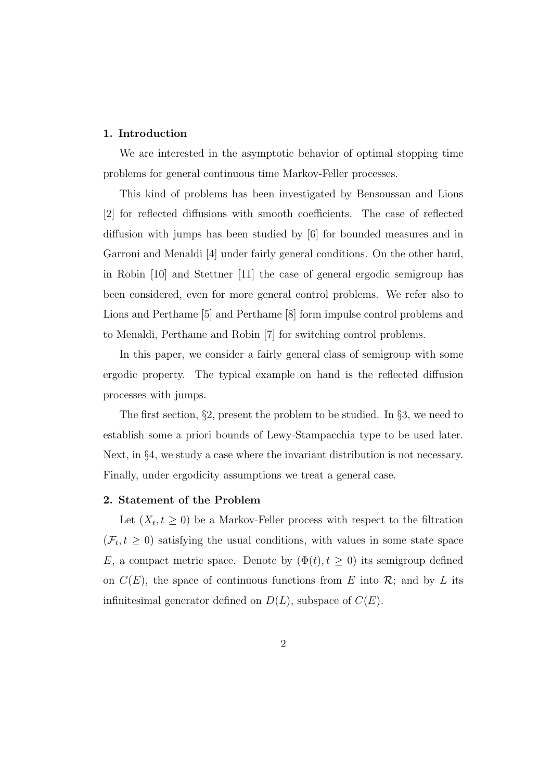#### **1. Introduction**

We are interested in the asymptotic behavior of optimal stopping time problems for general continuous time Markov-Feller processes.

This kind of problems has been investigated by Bensoussan and Lions [2] for reflected diffusions with smooth coefficients. The case of reflected diffusion with jumps has been studied by [6] for bounded measures and in Garroni and Menaldi [4] under fairly general conditions. On the other hand, in Robin [10] and Stettner [11] the case of general ergodic semigroup has been considered, even for more general control problems. We refer also to Lions and Perthame [5] and Perthame [8] form impulse control problems and to Menaldi, Perthame and Robin [7] for switching control problems.

In this paper, we consider a fairly general class of semigroup with some ergodic property. The typical example on hand is the reflected diffusion processes with jumps.

The first section, *§*2, present the problem to be studied. In *§*3, we need to establish some a priori bounds of Lewy-Stampacchia type to be used later. Next, in §4, we study a case where the invariant distribution is not necessary. Finally, under ergodicity assumptions we treat a general case.

#### **2. Statement of the Problem**

Let  $(X_t, t \geq 0)$  be a Markov-Feller process with respect to the filtration  $(\mathcal{F}_t, t \geq 0)$  satisfying the usual conditions, with values in some state space *E*, a compact metric space. Denote by  $(\Phi(t), t \geq 0)$  its semigroup defined on  $C(E)$ , the space of continuous functions from *E* into  $\mathcal{R}$ ; and by *L* its infinitesimal generator defined on *D*(*L*), subspace of *C*(*E*).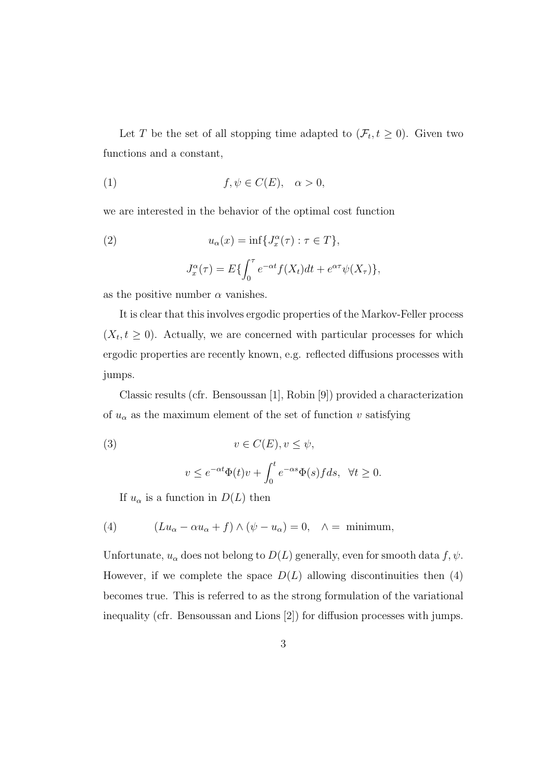Let *T* be the set of all stopping time adapted to  $(\mathcal{F}_t, t \geq 0)$ . Given two functions and a constant,

(1) 
$$
f, \psi \in C(E), \quad \alpha > 0,
$$

we are interested in the behavior of the optimal cost function

(2) 
$$
u_{\alpha}(x) = \inf \{ J_x^{\alpha}(\tau) : \tau \in T \},
$$

$$
J_x^{\alpha}(\tau) = E \{ \int_0^{\tau} e^{-\alpha t} f(X_t) dt + e^{\alpha \tau} \psi(X_{\tau}) \},
$$

as the positive number  $\alpha$  vanishes.

It is clear that this involves ergodic properties of the Markov-Feller process  $(X_t, t \geq 0)$ . Actually, we are concerned with particular processes for which ergodic properties are recently known, e.g. reflected diffusions processes with jumps.

Classic results (cfr. Bensoussan [1], Robin [9]) provided a characterization of  $u_{\alpha}$  as the maximum element of the set of function  $v$  satisfying

(3) 
$$
v \in C(E), v \le \psi,
$$

$$
v \le e^{-\alpha t} \Phi(t)v + \int_0^t e^{-\alpha s} \Phi(s) f ds, \quad \forall t \ge 0.
$$

If  $u_{\alpha}$  is a function in  $D(L)$  then

(4) 
$$
(Lu_{\alpha} - \alpha u_{\alpha} + f) \wedge (\psi - u_{\alpha}) = 0, \quad \wedge = \text{minimum},
$$

Unfortunate,  $u_{\alpha}$  does not belong to  $D(L)$  generally, even for smooth data  $f, \psi$ . However, if we complete the space  $D(L)$  allowing discontinuities then (4) becomes true. This is referred to as the strong formulation of the variational inequality (cfr. Bensoussan and Lions [2]) for diffusion processes with jumps.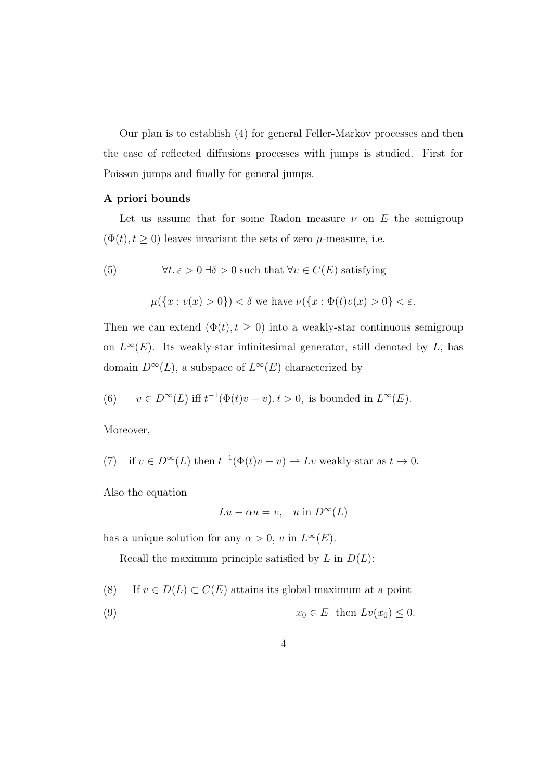Our plan is to establish (4) for general Feller-Markov processes and then the case of reflected diffusions processes with jumps is studied. First for Poisson jumps and finally for general jumps.

## **A priori bounds**

Let us assume that for some Radon measure  $\nu$  on  $E$  the semigroup  $(\Phi(t), t \geq 0)$  leaves invariant the sets of zero  $\mu$ -measure, i.e.

(5) 
$$
\forall t, \varepsilon > 0 \,\exists \delta > 0
$$
 such that  $\forall v \in C(E)$  satisfying

$$
\mu(\lbrace x : v(x) > 0 \rbrace) < \delta \text{ we have } \nu(\lbrace x : \Phi(t)v(x) > 0 \rbrace < \varepsilon.
$$

Then we can extend  $(\Phi(t), t \geq 0)$  into a weakly-star continuous semigroup on  $L^{\infty}(E)$ . Its weakly-star infinitesimal generator, still denoted by *L*, has domain  $D^{\infty}(L)$ , a subspace of  $L^{\infty}(E)$  characterized by

(6) 
$$
v \in D^{\infty}(L)
$$
 iff  $t^{-1}(\Phi(t)v - v), t > 0$ , is bounded in  $L^{\infty}(E)$ .

Moreover,

(7) if 
$$
v \in D^{\infty}(L)
$$
 then  $t^{-1}(\Phi(t)v - v) \to Lv$  weakly-star as  $t \to 0$ .

Also the equation

$$
Lu - \alpha u = v, \quad u \text{ in } D^{\infty}(L)
$$

has a unique solution for any  $\alpha > 0$ , *v* in  $L^{\infty}(E)$ .

Recall the maximum principle satisfied by *L* in *D*(*L*):

- (8) If  $v \in D(L) \subset C(E)$  attains its global maximum at a point
- (9)  $x_0 \in E$  then  $Lv(x_0) \leq 0$ .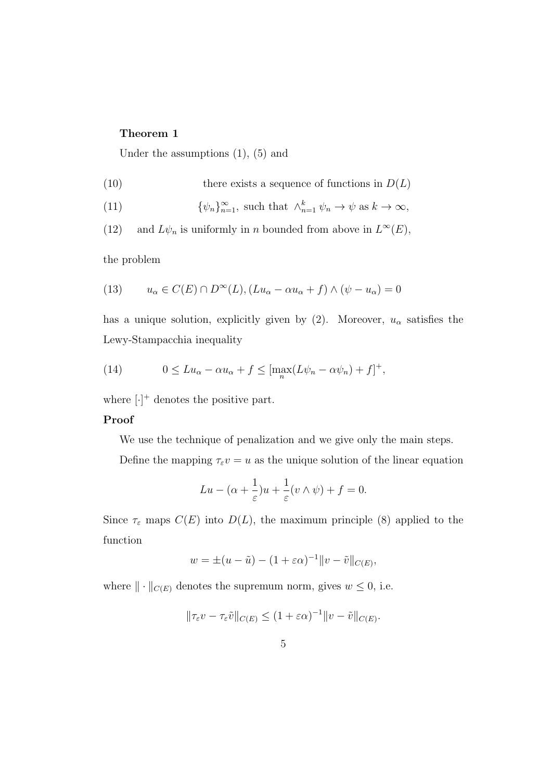#### **Theorem 1**

Under the assumptions  $(1)$ ,  $(5)$  and

(10) there exists a sequence of functions in 
$$
D(L)
$$

(11) 
$$
\{\psi_n\}_{n=1}^{\infty}, \text{ such that } \wedge_{n=1}^k \psi_n \to \psi \text{ as } k \to \infty,
$$

(12) and  $L\psi_n$  is uniformly in *n* bounded from above in  $L^{\infty}(E)$ ,

the problem

(13) 
$$
u_{\alpha} \in C(E) \cap D^{\infty}(L), (Lu_{\alpha} - \alpha u_{\alpha} + f) \wedge (\psi - u_{\alpha}) = 0
$$

has a unique solution, explicitly given by (2). Moreover,  $u_{\alpha}$  satisfies the Lewy-Stampacchia inequality

(14) 
$$
0 \le Lu_{\alpha} - \alpha u_{\alpha} + f \le \left[\max_{n} (L\psi_n - \alpha \psi_n) + f\right]^+,
$$

where  $[\cdot]^+$  denotes the positive part.

### **Proof**

We use the technique of penalization and we give only the main steps.

Define the mapping  $\tau_{\varepsilon}v = u$  as the unique solution of the linear equation

$$
Lu - (\alpha + \frac{1}{\varepsilon})u + \frac{1}{\varepsilon}(v \wedge \psi) + f = 0.
$$

Since  $\tau_{\varepsilon}$  maps  $C(E)$  into  $D(L)$ , the maximum principle (8) applied to the function

$$
w = \pm (u - \tilde{u}) - (1 + \varepsilon \alpha)^{-1} ||v - \tilde{v}||_{C(E)},
$$

where  $\|\cdot\|_{C(E)}$  denotes the supremum norm, gives  $w \leq 0$ , i.e.

$$
\|\tau_{\varepsilon}v-\tau_{\varepsilon}\tilde{v}\|_{C(E)}\leq (1+\varepsilon\alpha)^{-1}\|v-\tilde{v}\|_{C(E)}.
$$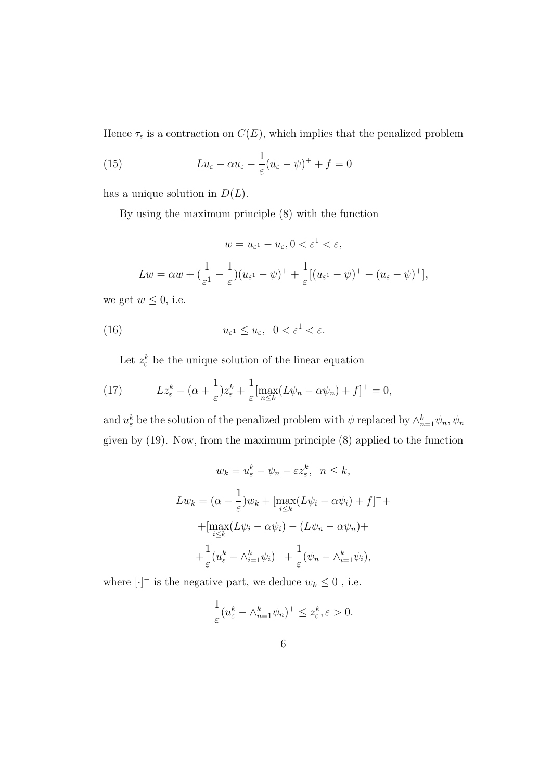Hence  $\tau_{\varepsilon}$  is a contraction on  $C(E)$ , which implies that the penalized problem

(15) 
$$
Lu_{\varepsilon} - \alpha u_{\varepsilon} - \frac{1}{\varepsilon}(u_{\varepsilon} - \psi)^{+} + f = 0
$$

has a unique solution in  $D(L)$ .

By using the maximum principle (8) with the function

 $w = u_{\varepsilon}$   $1 - u_{\varepsilon}$ ,  $0 < \varepsilon$ <sup>1</sup>  $< \varepsilon$ ,

$$
Lw = \alpha w + \left(\frac{1}{\varepsilon^1} - \frac{1}{\varepsilon}\right)(u_{\varepsilon^1} - \psi)^+ + \frac{1}{\varepsilon}[(u_{\varepsilon^1} - \psi)^+ - (u_{\varepsilon} - \psi)^+],
$$

we get  $w \leq 0$ , i.e.

(16) 
$$
u_{\varepsilon^1} \le u_{\varepsilon}, \ \ 0 < \varepsilon^1 < \varepsilon.
$$

Let  $z_{\varepsilon}^k$  be the unique solution of the linear equation

(17) 
$$
Lz_{\varepsilon}^{k} - (\alpha + \frac{1}{\varepsilon})z_{\varepsilon}^{k} + \frac{1}{\varepsilon}[\max_{n \leq k} (L\psi_{n} - \alpha \psi_{n}) + f]^{+} = 0,
$$

and  $u_{\varepsilon}^{k}$  be the solution of the penalized problem with  $\psi$  replaced by  $\wedge_{n=1}^{k} \psi_{n}, \psi_{n}$ given by (19). Now, from the maximum principle (8) applied to the function

$$
w_k = u_{\varepsilon}^k - \psi_n - \varepsilon z_{\varepsilon}^k, \quad n \le k,
$$
  
\n
$$
Lw_k = (\alpha - \frac{1}{\varepsilon})w_k + \left[\max_{i \le k} (L\psi_i - \alpha \psi_i) + f\right]^{-} +
$$
  
\n
$$
+ \left[\max_{i \le k} (L\psi_i - \alpha \psi_i) - (L\psi_n - \alpha \psi_n) + \right]
$$
  
\n
$$
+ \frac{1}{\varepsilon} (u_{\varepsilon}^k - \wedge_{i=1}^k \psi_i)^{-} + \frac{1}{\varepsilon} (\psi_n - \wedge_{i=1}^k \psi_i),
$$

where  $[\cdot]$ <sup> $-$ </sup> is the negative part, we deduce  $w_k \leq 0$ , i.e.

$$
\frac{1}{\varepsilon}(u_{\varepsilon}^k - \wedge_{n=1}^k \psi_n)^+ \le z_{\varepsilon}^k, \varepsilon > 0.
$$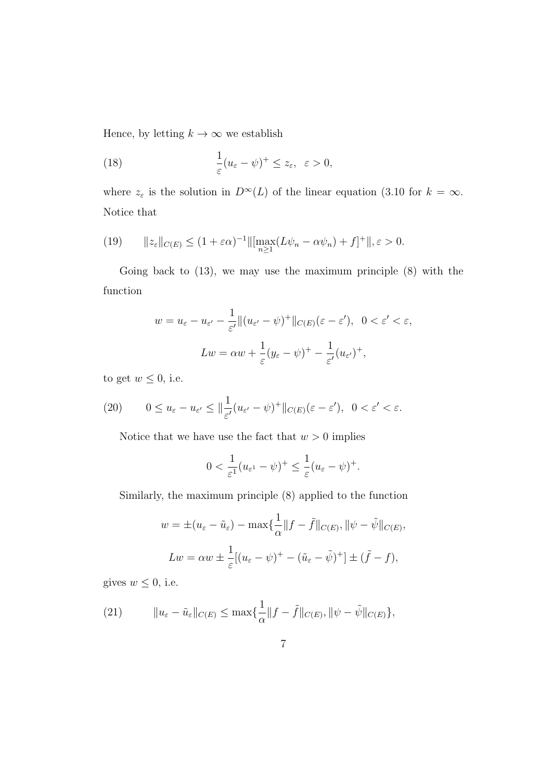Hence, by letting  $k \to \infty$  we establish

(18) 
$$
\frac{1}{\varepsilon}(u_{\varepsilon}-\psi)^{+} \leq z_{\varepsilon}, \ \varepsilon > 0,
$$

where  $z_{\varepsilon}$  is the solution in  $D^{\infty}(L)$  of the linear equation (3.10 for  $k = \infty$ . Notice that

(19) 
$$
||z_{\varepsilon}||_{C(E)} \le (1+\varepsilon\alpha)^{-1} ||[\max_{n\ge 1}(L\psi_n - \alpha\psi_n) + f]^+||, \varepsilon > 0.
$$

Going back to (13), we may use the maximum principle (8) with the function

$$
w = u_{\varepsilon} - u_{\varepsilon'} - \frac{1}{\varepsilon'} \|(u_{\varepsilon'} - \psi)^+\|_{C(E)}(\varepsilon - \varepsilon'), \quad 0 < \varepsilon' < \varepsilon,
$$
\n
$$
Lw = \alpha w + \frac{1}{\varepsilon}(y_{\varepsilon} - \psi)^+ - \frac{1}{\varepsilon'}(u_{\varepsilon'})^+,
$$

to get  $w \leq 0$ , i.e.

(20) 
$$
0 \le u_{\varepsilon} - u_{\varepsilon'} \le \|\frac{1}{\varepsilon'}(u_{\varepsilon'} - \psi)^+\|_{C(E)}(\varepsilon - \varepsilon'), \quad 0 < \varepsilon' < \varepsilon.
$$

Notice that we have use the fact that  $w > 0$  implies

$$
0 < \frac{1}{\varepsilon^1} (u_{\varepsilon^1} - \psi)^+ \le \frac{1}{\varepsilon} (u_{\varepsilon} - \psi)^+.
$$

Similarly, the maximum principle (8) applied to the function

$$
w = \pm (u_{\varepsilon} - \tilde{u}_{\varepsilon}) - \max\{\frac{1}{\alpha}||f - \tilde{f}||_{C(E)}, ||\psi - \tilde{\psi}||_{C(E)},
$$
  

$$
Lw = \alpha w \pm \frac{1}{\varepsilon}[(u_{\varepsilon} - \psi)^{+} - (\tilde{u}_{\varepsilon} - \tilde{\psi})^{+}] \pm (\tilde{f} - f),
$$

gives  $w \leq 0$ , i.e.

(21) 
$$
||u_{\varepsilon}-\tilde{u}_{\varepsilon}||_{C(E)} \leq \max\{\frac{1}{\alpha}||f-\tilde{f}||_{C(E)}, ||\psi-\tilde{\psi}||_{C(E)}\},\
$$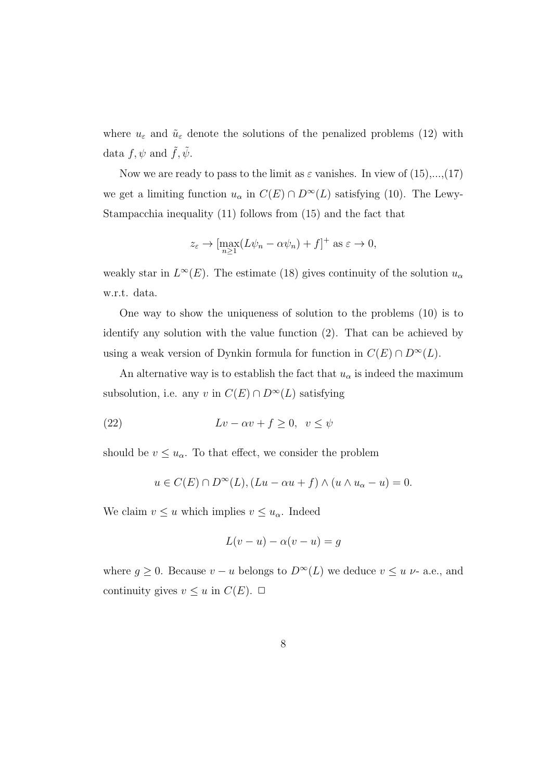where  $u_{\varepsilon}$  and  $\tilde{u}_{\varepsilon}$  denote the solutions of the penalized problems (12) with data  $f, \psi$  and  $\tilde{f}, \tilde{\psi}$ .

Now we are ready to pass to the limit as  $\varepsilon$  vanishes. In view of  $(15),...,(17)$ we get a limiting function  $u_{\alpha}$  in  $C(E) \cap D^{\infty}(L)$  satisfying (10). The Lewy-Stampacchia inequality (11) follows from (15) and the fact that

$$
z_{\varepsilon} \to \left[\max_{n\geq 1} (L\psi_n - \alpha \psi_n) + f\right]^+
$$
 as  $\varepsilon \to 0$ ,

weakly star in  $L^{\infty}(E)$ . The estimate (18) gives continuity of the solution  $u_{\alpha}$ w.r.t. data.

One way to show the uniqueness of solution to the problems (10) is to identify any solution with the value function (2). That can be achieved by using a weak version of Dynkin formula for function in  $C(E) \cap D^{\infty}(L)$ .

An alternative way is to establish the fact that  $u_{\alpha}$  is indeed the maximum subsolution, i.e. any *v* in  $C(E) \cap D^{\infty}(L)$  satisfying

(22) 
$$
Lv - \alpha v + f \ge 0, \ v \le \psi
$$

should be  $v \leq u_{\alpha}$ . To that effect, we consider the problem

$$
u \in C(E) \cap D^{\infty}(L), (Lu - \alpha u + f) \wedge (u \wedge u_{\alpha} - u) = 0.
$$

We claim  $v \leq u$  which implies  $v \leq u_{\alpha}$ . Indeed

$$
L(v - u) - \alpha(v - u) = g
$$

where  $g \geq 0$ . Because  $v - u$  belongs to  $D^{\infty}(L)$  we deduce  $v \leq u$   $\nu$ - a.e., and continuity gives  $v \leq u$  in  $C(E)$ .  $\Box$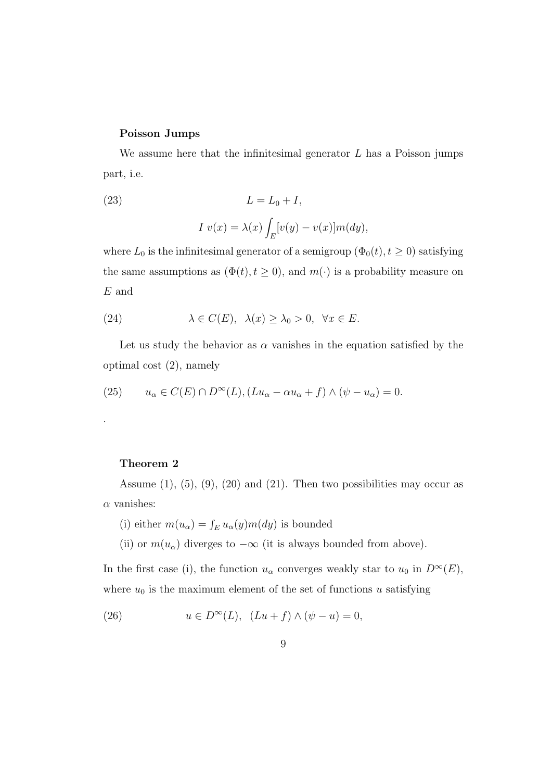#### **Poisson Jumps**

We assume here that the infinitesimal generator *L* has a Poisson jumps part, i.e.

(23) 
$$
L = L_0 + I,
$$

$$
I v(x) = \lambda(x) \int_E [v(y) - v(x)] m(dy),
$$

where  $L_0$  is the infinitesimal generator of a semigroup  $(\Phi_0(t), t \ge 0)$  satisfying the same assumptions as  $(\Phi(t), t \geq 0)$ , and  $m(\cdot)$  is a probability measure on *E* and

(24) 
$$
\lambda \in C(E), \ \lambda(x) \geq \lambda_0 > 0, \ \forall x \in E.
$$

Let us study the behavior as  $\alpha$  vanishes in the equation satisfied by the optimal cost (2), namely

(25) 
$$
u_{\alpha} \in C(E) \cap D^{\infty}(L), (Lu_{\alpha} - \alpha u_{\alpha} + f) \wedge (\psi - u_{\alpha}) = 0.
$$

#### **Theorem 2**

.

Assume  $(1)$ ,  $(5)$ ,  $(9)$ ,  $(20)$  and  $(21)$ . Then two possibilities may occur as *α* vanishes:

(i) either  $m(u_{\alpha}) = \int_{E} u_{\alpha}(y) m(dy)$  is bounded

(ii) or  $m(u_\alpha)$  diverges to  $-\infty$  (it is always bounded from above).

In the first case (i), the function  $u_{\alpha}$  converges weakly star to  $u_0$  in  $D^{\infty}(E)$ , where  $u_0$  is the maximum element of the set of functions  $u$  satisfying

(26) 
$$
u \in D^{\infty}(L), (Lu+f) \wedge (\psi - u) = 0,
$$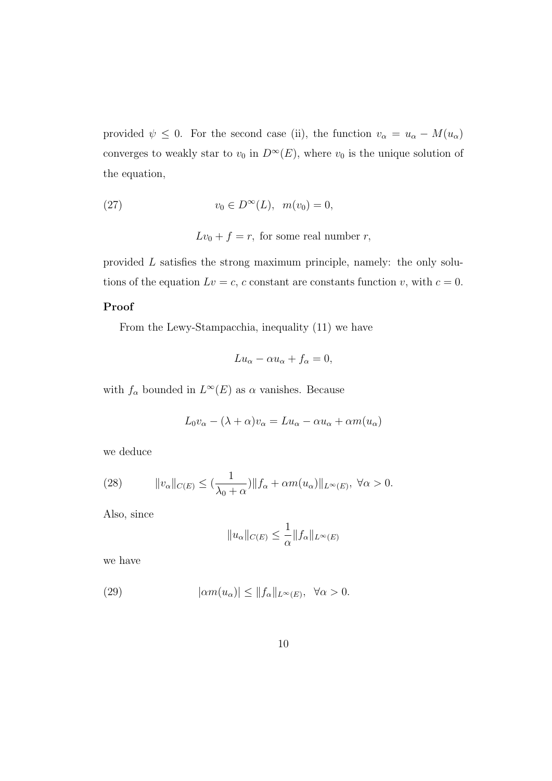provided  $\psi \leq 0$ . For the second case (ii), the function  $v_{\alpha} = u_{\alpha} - M(u_{\alpha})$ converges to weakly star to  $v_0$  in  $D^\infty(E)$ , where  $v_0$  is the unique solution of the equation,

(27) 
$$
v_0 \in D^{\infty}(L), \ \ m(v_0) = 0,
$$

 $Lv_0 + f = r$ , for some real number *r*,

provided *L* satisfies the strong maximum principle, namely: the only solutions of the equation  $Lv = c$ , *c* constant are constants function *v*, with  $c = 0$ .

#### **Proof**

From the Lewy-Stampacchia, inequality (11) we have

$$
Lu_{\alpha} - \alpha u_{\alpha} + f_{\alpha} = 0,
$$

with  $f_\alpha$  bounded in  $L^\infty(E)$  as  $\alpha$  vanishes. Because

$$
L_0 v_\alpha - (\lambda + \alpha) v_\alpha = L u_\alpha - \alpha u_\alpha + \alpha m(u_\alpha)
$$

we deduce

(28) 
$$
||v_{\alpha}||_{C(E)} \leq (\frac{1}{\lambda_0 + \alpha}) ||f_{\alpha} + \alpha m(u_{\alpha})||_{L^{\infty}(E)}, \ \forall \alpha > 0.
$$

Also, since

$$
||u_{\alpha}||_{C(E)} \le \frac{1}{\alpha} ||f_{\alpha}||_{L^{\infty}(E)}
$$

we have

(29) 
$$
|\alpha m(u_{\alpha})| \leq ||f_{\alpha}||_{L^{\infty}(E)}, \quad \forall \alpha > 0.
$$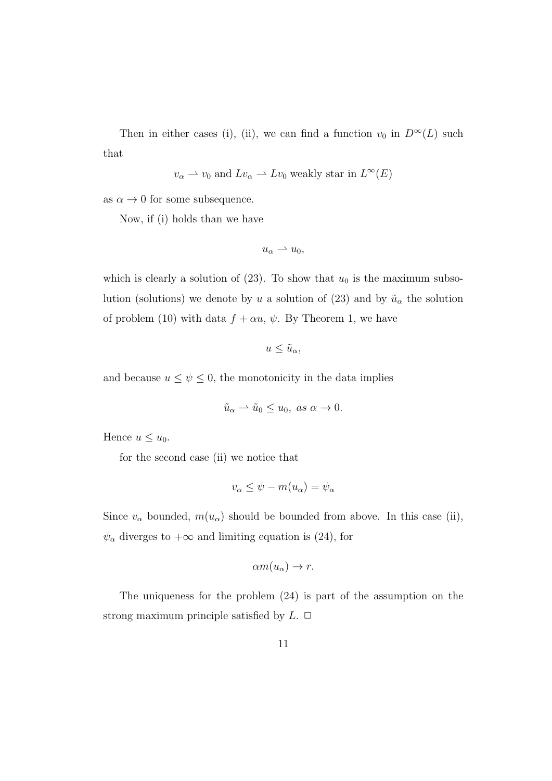Then in either cases (i), (ii), we can find a function  $v_0$  in  $D^\infty(L)$  such that

$$
v_{\alpha} \rightarrow v_0
$$
 and  $Lv_{\alpha} \rightarrow Lv_0$  weakly star in  $L^{\infty}(E)$ 

as  $\alpha \to 0$  for some subsequence.

Now, if (i) holds than we have

$$
u_{\alpha} \rightharpoonup u_0,
$$

which is clearly a solution of  $(23)$ . To show that  $u_0$  is the maximum subsolution (solutions) we denote by *u* a solution of (23) and by  $\tilde{u}_{\alpha}$  the solution of problem (10) with data  $f + \alpha u$ ,  $\psi$ . By Theorem 1, we have

$$
u\leq \tilde{u}_{\alpha},
$$

and because  $u \leq \psi \leq 0$ , the monotonicity in the data implies

$$
\tilde{u}_{\alpha} \rightharpoonup \tilde{u}_0 \le u_0, \text{ as } \alpha \to 0.
$$

Hence  $u \leq u_0$ .

for the second case (ii) we notice that

$$
v_{\alpha} \leq \psi - m(u_{\alpha}) = \psi_{\alpha}
$$

Since  $v_\alpha$  bounded,  $m(u_\alpha)$  should be bounded from above. In this case (ii),  $\psi_{\alpha}$  diverges to  $+\infty$  and limiting equation is (24), for

$$
\alpha m(u_{\alpha}) \to r.
$$

The uniqueness for the problem (24) is part of the assumption on the strong maximum principle satisfied by  $L$ .  $\Box$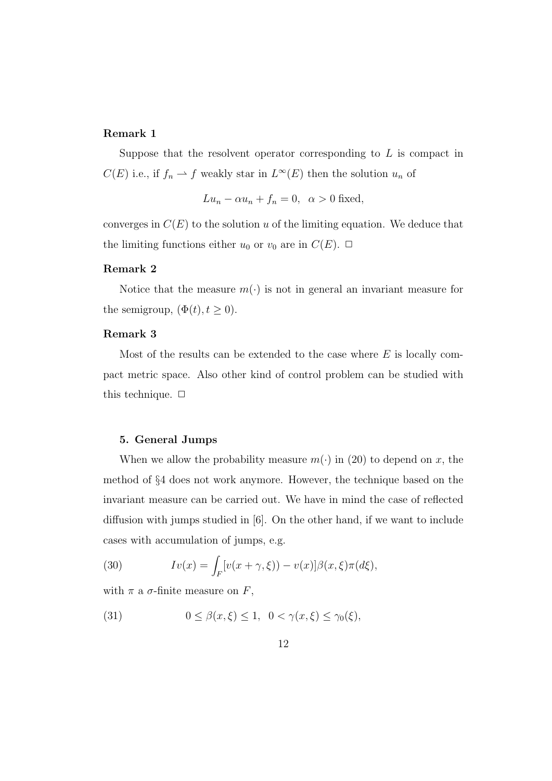# **Remark 1**

Suppose that the resolvent operator corresponding to *L* is compact in  $C(E)$  i.e., if  $f_n \to f$  weakly star in  $L^{\infty}(E)$  then the solution  $u_n$  of

$$
Lu_n - \alpha u_n + f_n = 0, \ \alpha > 0 \text{ fixed},
$$

converges in  $C(E)$  to the solution *u* of the limiting equation. We deduce that the limiting functions either  $u_0$  or  $v_0$  are in  $C(E)$ .  $\Box$ 

#### **Remark 2**

Notice that the measure  $m(\cdot)$  is not in general an invariant measure for the semigroup,  $(\Phi(t), t \geq 0)$ .

#### **Remark 3**

Most of the results can be extended to the case where *E* is locally compact metric space. Also other kind of control problem can be studied with this technique.  $\Box$ 

# **5. General Jumps**

When we allow the probability measure  $m(\cdot)$  in (20) to depend on *x*, the method of *§*4 does not work anymore. However, the technique based on the invariant measure can be carried out. We have in mind the case of reflected diffusion with jumps studied in [6]. On the other hand, if we want to include cases with accumulation of jumps, e.g.

(30) 
$$
Iv(x) = \int_F [v(x + \gamma, \xi)) - v(x)] \beta(x, \xi) \pi(d\xi),
$$

with  $\pi$  a  $\sigma$ -finite measure on  $F$ ,

(31) 
$$
0 \leq \beta(x,\xi) \leq 1, \quad 0 < \gamma(x,\xi) \leq \gamma_0(\xi),
$$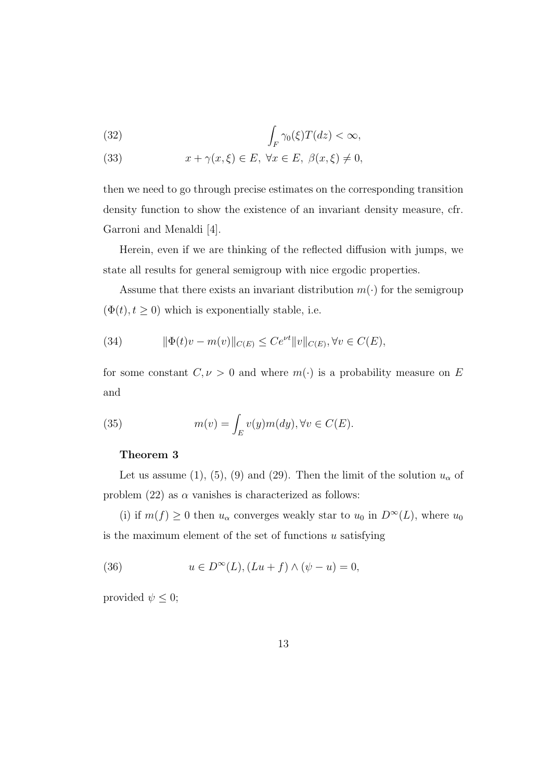(32) 
$$
\int_{F} \gamma_0(\xi) T(dz) < \infty,
$$

(33) 
$$
x + \gamma(x, \xi) \in E, \ \forall x \in E, \ \beta(x, \xi) \neq 0,
$$

then we need to go through precise estimates on the corresponding transition density function to show the existence of an invariant density measure, cfr. Garroni and Menaldi [4].

Herein, even if we are thinking of the reflected diffusion with jumps, we state all results for general semigroup with nice ergodic properties.

Assume that there exists an invariant distribution  $m(\cdot)$  for the semigroup  $(\Phi(t), t \geq 0)$  which is exponentially stable, i.e.

(34) 
$$
\|\Phi(t)v - m(v)\|_{C(E)} \le Ce^{\nu t} \|v\|_{C(E)}, \forall v \in C(E),
$$

for some constant  $C, \nu > 0$  and where  $m(\cdot)$  is a probability measure on *E* and

(35) 
$$
m(v) = \int_{E} v(y)m(dy), \forall v \in C(E).
$$

# **Theorem 3**

Let us assume (1), (5), (9) and (29). Then the limit of the solution  $u_{\alpha}$  of problem  $(22)$  as  $\alpha$  vanishes is characterized as follows:

(i) if  $m(f) \geq 0$  then  $u_{\alpha}$  converges weakly star to  $u_0$  in  $D^{\infty}(L)$ , where  $u_0$ is the maximum element of the set of functions *u* satisfying

(36) 
$$
u \in D^{\infty}(L), (Lu + f) \wedge (\psi - u) = 0,
$$

provided  $\psi \leq 0$ ;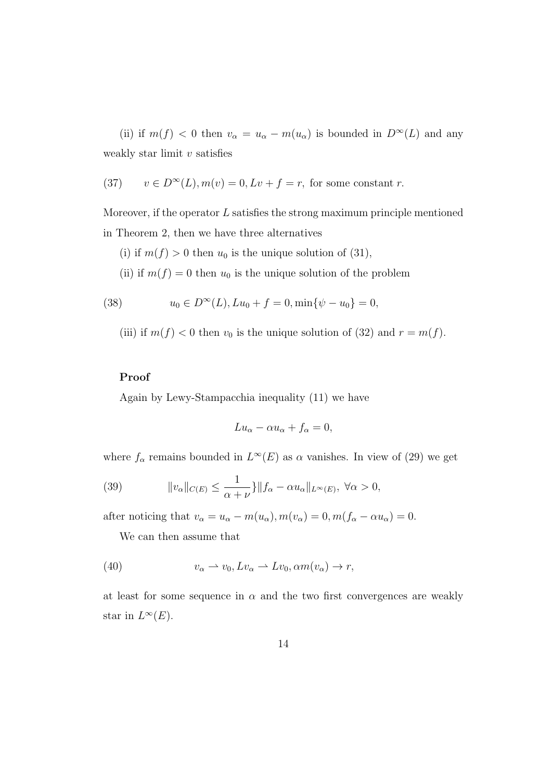(ii) if  $m(f) < 0$  then  $v_{\alpha} = u_{\alpha} - m(u_{\alpha})$  is bounded in  $D^{\infty}(L)$  and any weakly star limit *v* satisfies

(37) 
$$
v \in D^{\infty}(L), m(v) = 0, Lv + f = r
$$
, for some constant r.

Moreover, if the operator *L* satisfies the strong maximum principle mentioned in Theorem 2, then we have three alternatives

(i) if  $m(f) > 0$  then  $u_0$  is the unique solution of (31),

(ii) if  $m(f) = 0$  then  $u_0$  is the unique solution of the problem

(38) 
$$
u_0 \in D^{\infty}(L), Lu_0 + f = 0, \min\{\psi - u_0\} = 0,
$$

(iii) if  $m(f) < 0$  then  $v_0$  is the unique solution of (32) and  $r = m(f)$ .

#### **Proof**

Again by Lewy-Stampacchia inequality (11) we have

$$
Lu_{\alpha} - \alpha u_{\alpha} + f_{\alpha} = 0,
$$

where  $f_{\alpha}$  remains bounded in  $L^{\infty}(E)$  as  $\alpha$  vanishes. In view of (29) we get

(39) 
$$
||v_{\alpha}||_{C(E)} \leq \frac{1}{\alpha + \nu} \} ||f_{\alpha} - \alpha u_{\alpha}||_{L^{\infty}(E)}, \ \forall \alpha > 0,
$$

after noticing that  $v_{\alpha} = u_{\alpha} - m(u_{\alpha}), m(v_{\alpha}) = 0, m(f_{\alpha} - \alpha u_{\alpha}) = 0.$ 

We can then assume that

(40) 
$$
v_{\alpha} \to v_0, Lv_{\alpha} \to Lv_0, \alpha m(v_{\alpha}) \to r,
$$

at least for some sequence in  $\alpha$  and the two first convergences are weakly star in  $L^{\infty}(E)$ .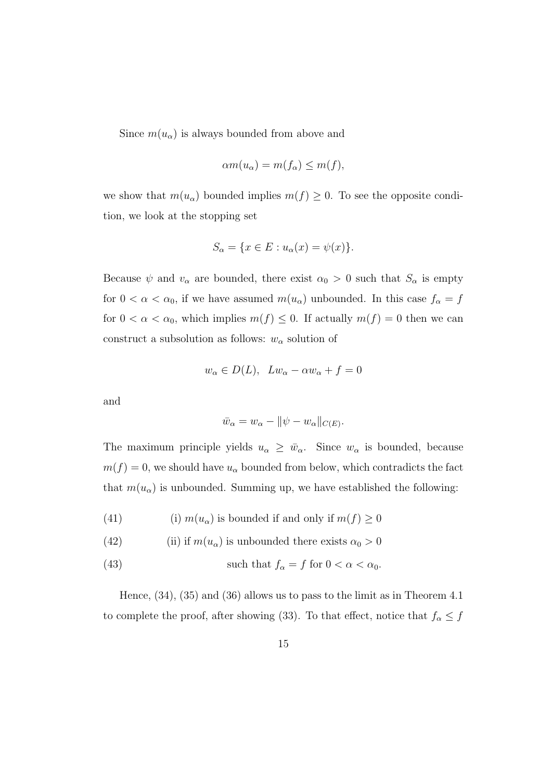Since  $m(u_{\alpha})$  is always bounded from above and

$$
\alpha m(u_{\alpha}) = m(f_{\alpha}) \le m(f),
$$

we show that  $m(u_{\alpha})$  bounded implies  $m(f) \geq 0$ . To see the opposite condition, we look at the stopping set

$$
S_{\alpha} = \{ x \in E : u_{\alpha}(x) = \psi(x) \}.
$$

Because  $\psi$  and  $v_\alpha$  are bounded, there exist  $\alpha_0 > 0$  such that  $S_\alpha$  is empty for  $0 < \alpha < \alpha_0$ , if we have assumed  $m(u_\alpha)$  unbounded. In this case  $f_\alpha = f$ for  $0 < \alpha < \alpha_0$ , which implies  $m(f) \leq 0$ . If actually  $m(f) = 0$  then we can construct a subsolution as follows:  $w_\alpha$  solution of

$$
w_{\alpha} \in D(L), \quad Lw_{\alpha} - \alpha w_{\alpha} + f = 0
$$

and

$$
\bar{w}_{\alpha} = w_{\alpha} - ||\psi - w_{\alpha}||_{C(E)}.
$$

The maximum principle yields  $u_{\alpha} \geq \bar{w}_{\alpha}$ . Since  $w_{\alpha}$  is bounded, because  $m(f) = 0$ , we should have  $u_{\alpha}$  bounded from below, which contradicts the fact that  $m(u_{\alpha})$  is unbounded. Summing up, we have established the following:

(41) (i)  $m(u_\alpha)$  is bounded if and only if  $m(f) \ge 0$ 

(42) (ii) if 
$$
m(u_{\alpha})
$$
 is unbounded there exists  $\alpha_0 > 0$ 

(43) such that 
$$
f_{\alpha} = f
$$
 for  $0 < \alpha < \alpha_0$ .

Hence, (34), (35) and (36) allows us to pass to the limit as in Theorem 4.1 to complete the proof, after showing (33). To that effect, notice that  $f_\alpha \leq f$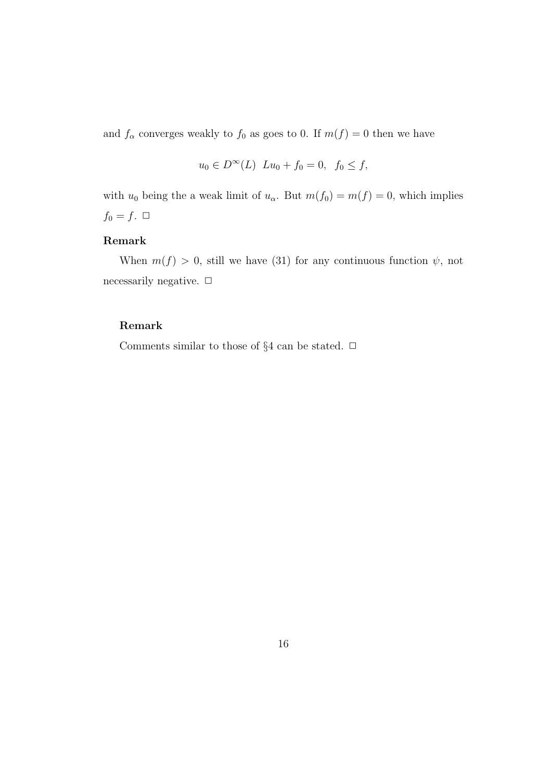and  $f_{\alpha}$  converges weakly to  $f_0$  as goes to 0. If  $m(f) = 0$  then we have

$$
u_0 \in D^{\infty}(L)
$$
  $Lu_0 + f_0 = 0$ ,  $f_0 \le f$ ,

with  $u_0$  being the a weak limit of  $u_\alpha$ . But  $m(f_0) = m(f) = 0$ , which implies  $f_0 = f$ .  $\Box$ 

# **Remark**

When  $m(f) > 0$ , still we have (31) for any continuous function  $\psi$ , not necessarily negative. **□** 

#### **Remark**

Comments similar to those of  $\S 4$  can be stated.  $\Box$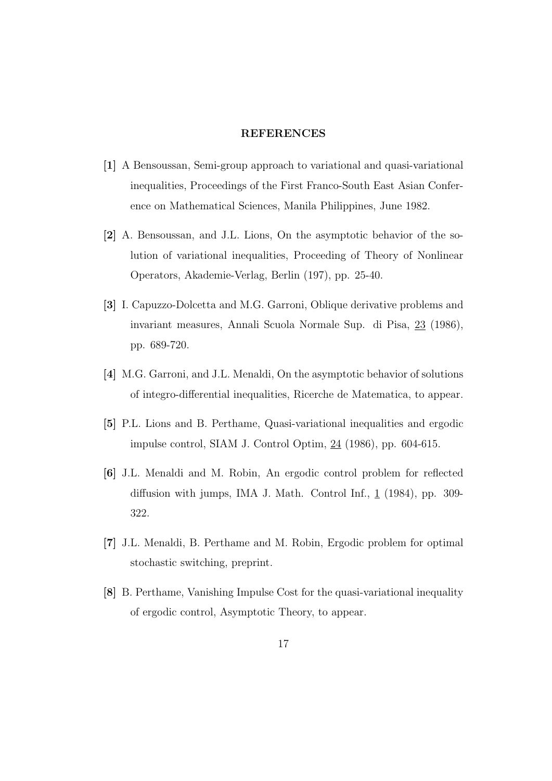### **REFERENCES**

- **[1]** A Bensoussan, Semi-group approach to variational and quasi-variational inequalities, Proceedings of the First Franco-South East Asian Conference on Mathematical Sciences, Manila Philippines, June 1982.
- **[2]** A. Bensoussan, and J.L. Lions, On the asymptotic behavior of the solution of variational inequalities, Proceeding of Theory of Nonlinear Operators, Akademie-Verlag, Berlin (197), pp. 25-40.
- **[3]** I. Capuzzo-Dolcetta and M.G. Garroni, Oblique derivative problems and invariant measures, Annali Scuola Normale Sup. di Pisa, 23 (1986), pp. 689-720.
- **[4]** M.G. Garroni, and J.L. Menaldi, On the asymptotic behavior of solutions of integro-differential inequalities, Ricerche de Matematica, to appear.
- **[5]** P.L. Lions and B. Perthame, Quasi-variational inequalities and ergodic impulse control, SIAM J. Control Optim, 24 (1986), pp. 604-615.
- **[6]** J.L. Menaldi and M. Robin, An ergodic control problem for reflected diffusion with jumps, IMA J. Math. Control Inf., 1 (1984), pp. 309- 322.
- **[7]** J.L. Menaldi, B. Perthame and M. Robin, Ergodic problem for optimal stochastic switching, preprint.
- **[8]** B. Perthame, Vanishing Impulse Cost for the quasi-variational inequality of ergodic control, Asymptotic Theory, to appear.